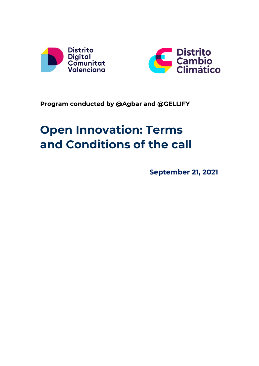



# **Program conducted by @Agbar and @GELLIFY**

# **Open Innovation: Terms and Conditions of the call**

**September 21, 2021**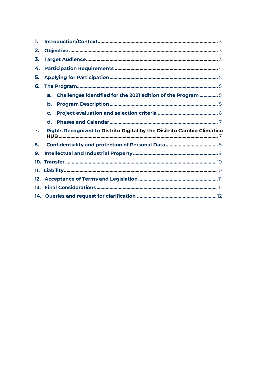| 1.  |                                                                         |
|-----|-------------------------------------------------------------------------|
| 2.  |                                                                         |
| 3.  |                                                                         |
| 4.  |                                                                         |
| 5.  |                                                                         |
| 6.  |                                                                         |
|     | Challenges identified for the 2021 edition of the Program  5<br>a.      |
|     | b.                                                                      |
|     | C.                                                                      |
|     | d.                                                                      |
| 7.  | Rights Recognized to Distrito Digital by the Disitrito Cambio Climático |
| 8.  |                                                                         |
| 9.  |                                                                         |
|     |                                                                         |
| 11. |                                                                         |
|     |                                                                         |
|     |                                                                         |
|     |                                                                         |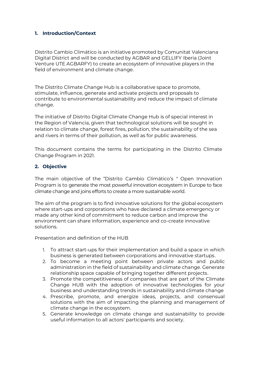#### <span id="page-2-0"></span>**1. Introduction/Context**

Distrito Cambio Climático is an initiative promoted by Comunitat Valenciana Digital District and will be conducted by AGBAR and GELLIFY Iberia (Joint Venture UTE AGBARFY) to create an ecosystem of innovative players in the field of environment and climate change.

The Distrito Climate Change Hub is a collaborative space to promote, stimulate, influence, generate and activate projects and proposals to contribute to environmental sustainability and reduce the impact of climate change.

The initiative of Distrito Digital Climate Change Hub is of special interest in the Region of Valencia, given that technological solutions will be sought in relation to climate change, forest fires, pollution, the sustainability of the sea and rivers in terms of their pollution, as well as for public awareness.

This document contains the terms for participating in the Distrito Climate Change Program in 2021.

#### <span id="page-2-1"></span>**2. Objective**

The main objective of the "Distrito Cambio Climático's " Open Innovation Program is to generate the most powerful innovation ecosystem in Europe to face climate change and joins efforts to create a more sustainable world.

The aim of the program is to find innovative solutions for the global ecosystem where start-ups and corporations who have declared a climate emergency or made any other kind of commitment to reduce carbon and improve the environment can share information, experience and co-create innovative solutions.

Presentation and definition of the HUB

- 1. To attract start-ups for their implementation and build a space in which business is generated between corporations and innovative startups.
- 2. To become a meeting point between private actors and public administration in the field of sustainability and climate change. Generate relationship space capable of bringing together different projects.
- 3. Promote the competitiveness of companies that are part of the Climate Change HUB with the adoption of innovative technologies for your business and understanding trends in sustainability and climate change
- 4. Prescribe, promote, and energize ideas, projects, and consensual solutions with the aim of impacting the planning and management of climate change in the ecosystem.
- 5. Generate knowledge on climate change and sustainability to provide useful information to all actors' participants and society.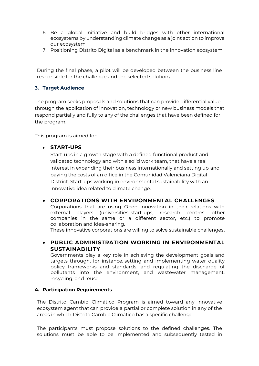- 6. Be a global initiative and build bridges with other international ecosystems by understanding climate change as a joint action to improve our ecosystem
- 7. Positioning Distrito Digital as a benchmark in the innovation ecosystem.

During the final phase, a pilot will be developed between the business line responsible for the challenge and the selected solution**.**

# <span id="page-3-0"></span>**3. Target Audience**

The program seeks proposals and solutions that can provide differential value through the application of innovation, technology or new business models that respond partially and fully to any of the challenges that have been defined for the program.

This program is aimed for:

# • **START-UPS**

Start-ups in a growth stage with a defined functional product and validated technology and with a solid work team, that have a real interest in expanding their business internationally and setting up and paying the costs of an office in the Comunidad Valenciana Digital District. Start-ups working in environmental sustainability with an innovative idea related to climate change.

# • **CORPORATIONS WITH ENVIRONMENTAL CHALLENGES**

Corporations that are using Open innovation in their relations with external players (universities, start-ups, research centres, other companies in the same or a different sector, etc.) to promote collaboration and idea-sharing.

These innovative corporations are willing to solve sustainable challenges.

# • **PUBLIC ADMINISTRATION WORKING IN ENVIRONMENTAL SUSTAINABILITY**

Governments play a key role in achieving the development goals and targets through, for instance, setting and implementing water quality policy frameworks and standards, and regulating the discharge of pollutants into the environment, and wastewater management, recycling, and reuse.

#### <span id="page-3-1"></span>**4. Participation Requirements**

The Distrito Cambio Climático Program is aimed toward any innovative ecosystem agent that can provide a partial or complete solution in any of the areas in which Distrito Cambio Climático has a specific challenge.

The participants must propose solutions to the defined challenges. The solutions must be able to be implemented and subsequently tested in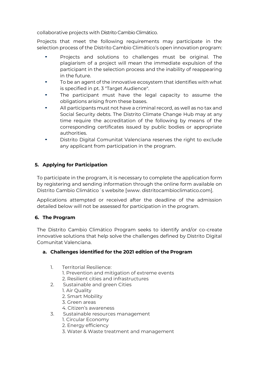collaborative projects with Distrito Cambio Climático.

Projects that meet the following requirements may participate in the selection process of the Distrito Cambio Climático's open innovation program:

- Projects and solutions to challenges must be original. The plagiarism of a project will mean the immediate expulsion of the participant in the selection process and the inability of reappearing in the future.
- To be an agent of the innovative ecosystem that identifies with what is specified in pt. 3 "Target Audience".
- The participant must have the legal capacity to assume the obligations arising from these bases.
- All participants must not have a criminal record, as well as no tax and Social Security debts. The Distrito Climate Change Hub may at any time require the accreditation of the following by means of the corresponding certificates issued by public bodies or appropriate authorities.
- Distrito Digital Comunitat Valenciana reserves the right to exclude any applicant from participation in the program.

# **5. Applying for Participation**

To participate in the program, it is necessary to complete the application form by registering and sending information through the online form available on Distrito Cambio Climático´s website [[www. distritocambioclimatico.com\]](http://www.sacyrichallenges.com/).

Applications attempted or received after the deadline of the admission detailed below will not be assessed for participation in the program.

# <span id="page-4-0"></span>**6. The Program**

The Distrito Cambio Climático Program seeks to identify and/or co-create innovative solutions that help solve the challenges defined by Distrito Digital Comunitat Valenciana.

# **a. Challenges identified for the 2021 edition of the Program**

- <span id="page-4-1"></span>1. Territorial Resilience: 1. Prevention and mitigation of extreme events
	- 2. Resilient cities and infrastructures
- 2. Sustainable and green Cities
	- 1. Air Quality
	- 2. Smart Mobility
	- 3. Green areas
	- 4. Citizen's awareness
- 3. Sustainable resources management
	- 1. Circular Economy
	- 2. Energy efficiency
	- 3. Water & Waste treatment and management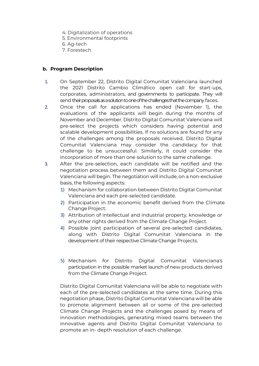- 4. Digitalization of operations
- 5. Environmental footprints
- 6. Ag-tech
- 7. Forestech

#### **b. Program Description**

- 1. On September 22, Distrito Digital Comunitat Valenciana launched the 2021 Distrito Cambio Climático open call for start-ups, corporates, administrators, and governments to participate. They will send their proposals as a solution to one of the challenges that the company faces.
- 2. Once the call for applications has ended (November 1), the evaluations of the applicants will begin during the months of November and December. Distrito Digital Comunitat Valenciana will pre-select the projects which considers having potential and scalable development possibilities. If no solutions are found for any of the challenges among the proposals received, Distrito Digital Comunitat Valenciana may consider the candidacy for that challenge to be unsuccessful. Similarly, it could consider the incorporation of more than one solution to the same challenge.
- 3. After the pre-selection, each candidate will be notified and the negotiation process between them and Distrito Digital Comunitat Valenciana will begin. The negotiation will include, on a non-exclusive basis, the following aspects:
	- 1) Mechanism for collaboration between Distrito Digital Comunitat Valenciana and each pre-selected candidate.
	- 2) Participation in the economic benefit derived from the Climate Change Project.
	- 3) Attribution of intellectual and industrial property, knowledge or any other rights derived from the Climate Change Project.
	- 4) Possible joint participation of several pre-selected candidates, along with Distrito Digital Comunitat Valenciana in the development of their respective Climate Change Projects.
	- 5) Mechanism for Distrito Digital Comunitat Valenciana's participation in the possible market launch of new products derived from the Climate Change Project.

Distrito Digital Comunitat Valenciana will be able to negotiate with each of the pre-selected candidates at the same time. During this negotiation phase, Distrito Digital Comunitat Valenciana will be able to promote alignment between all or some of the pre-selected Climate Change Projects and the challenges posed by means of innovation methodologies, generating mixed teams between the innovative agents and Distrito Digital Comunitat Valenciana to promote an in- depth resolution of each challenge.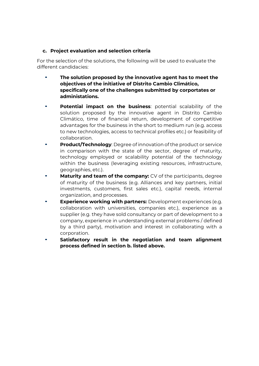#### **c. Project evaluation and selection criteria**

For the selection of the solutions, the following will be used to evaluate the different candidacies:

- **The solution proposed by the innovative agent has to meet the objectives of the initiative of Distrito Cambio Climático, specifically one of the challenges submitted by corportates or administations.**
- **Potential impact on the business**: potential scalability of the solution proposed by the innovative agent in Distrito Cambio Climático, time of financial return, development of competitive advantages for the business in the short to medium run (e.g. access to new technologies, access to technical profiles etc.) or feasibility of collaboration.
- **Product/Technology:** Degree of innovation of the product or service in comparison with the state of the sector, degree of maturity, technology employed or scalability potential of the technology within the business (leveraging existing resources, infrastructure, geographies, etc.).
- **Maturity and team of the company:** CV of the participants, degree of maturity of the business (e.g. Alliances and key partners, initial investments, customers, first sales etc.), capital needs, internal organization, and processes.
- **Experience working with partners:** Development experiences (e.g. collaboration with universities, companies etc.), experience as a supplier (e.g. they have sold consultancy or part of development to a company, experience in understanding external problems / defined by a third party), motivation and interest in collaborating with a corporation.
- **Satisfactory result in the negotiation and team alignment process defined in section b. listed above.**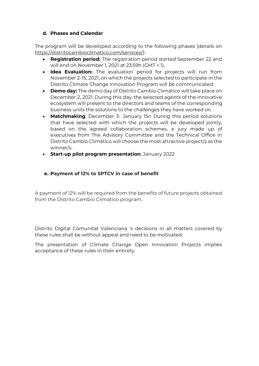#### <span id="page-7-0"></span>**d. Phases and Calendar**

The program will be developed according to the following phases (details on https://distritocambioclimatico.com/services/):

- **Registration period:** The registration period started September 22 and will end on November 1, 2021 at 23:59h (GMT + 1).
- **Idea Evaluation:** The evaluation period for projects will run from November 2-15, 2021, on which the projects selected to participate in the Distrito Climate Change Innovation Program will be communicated.
- **Demo day:** The demo day of Distrito Cambio Climático will take place on December 2, 2021. During this day, the selected agents of the innovative ecosystem will present to the directors and teams of the corresponding business units the solutions to the challenges they have worked on.
- **Matchmaking**: December 3- January 15n During this period solutions that have selected with which the projects will be developed jointly, based on the agreed collaboration schemes, a jury made up of executives from The Advisory Committee and the Technical Office in Distrito Cambio Climático will choose the most attractive project/s as the winner/s.
- **Start-up pilot program presentation**: January 2022

#### **e. Payment of 12% to SPTCV in case of benefit**

A payment of 12% will be required from the benefits of future projects obtained from the Distrito Cambio Climático program.

Distrito Digital Comunitat Valenciana 's decisions in all matters covered by these rules shall be without appeal and need to be motivated.

The presentation of Climate Change Open Innovation Projects implies acceptance of these rules in their entirety.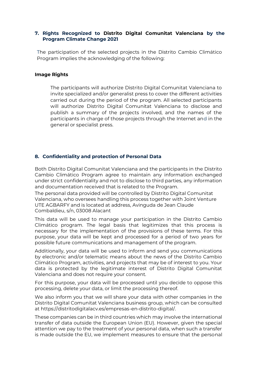#### **7. Rights Recognized to Distrito Digital Comunitat Valenciana by the Program Climate Change 2021**

The participation of the selected projects in the Distrito Cambio Climático Program implies the acknowledging of the following:

#### **Image Rights**

The participants will authorize Distrito Digital Comunitat Valenciana to invite specialized and/or generalist press to cover the different activities carried out during the period of the program. All selected participants will authorize Distrito Digital Comunitat Valenciana to disclose and publish a summary of the projects involved, and the names of the participants in charge of those projects through the Internet and in the general or specialist press.

#### <span id="page-8-0"></span>**8. Confidentiality and protection of Personal Data**

Both Distrito Digital Comunitat Valenciana and the participants in the Distrito Cambio Climático Program agree to maintain any information exchanged under strict confidentiality and not to disclose to third parties, any information and documentation received that is related to the Program.

The personal data provided will be controlled by Distrito Digital Comunitat Valenciana, who oversees handling this process together with Joint Venture UTE AGBARFY and is located at address, Avinguda de Jean Claude Combaldieu, s/n, 03008 Alacant

This data will be used to manage your participation in the Distrito Cambio Climático program. The legal basis that legitimizes that this process is necessary for the implementation of the provisions of these terms. For this purpose, your data will be kept and processed for a period of two years for possible future communications and management of the program.

Additionally, your data will be used to inform and send you communications by electronic and/or telematic means about the news of the Distrito Cambio Climático Program, activities, and projects that may be of interest to you. Your data is protected by the legitimate interest of Distrito Digital Comunitat Valenciana and does not require your consent.

For this purpose, your data will be processed until you decide to oppose this processing, delete your data, or limit the processing thereof.

We also inform you that we will share your data with other companies in the Distrito Digital Comunitat Valenciana business group, which can be consulted at https://distritodigitalacv.es/empresas-en-distrito-digital/.

These companies can be in third countries which may involve the international transfer of data outside the European Union (EU). However, given the special attention we pay to the treatment of your personal data, when such a transfer is made outside the EU, we implement measures to ensure that the personal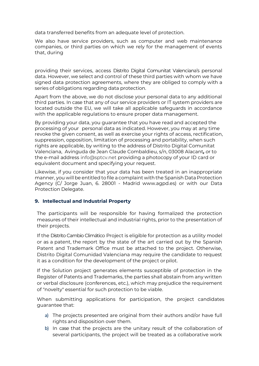data transferred benefits from an adequate level of protection.

We also have service providers, such as computer and web maintenance companies, or third parties on which we rely for the management of events that, during

providing their services, access Distrito Digital Comunitat Valenciana's personal data. However, we select and control of these third parties with whom we have signed data protection agreements, where they are obliged to comply with a series of obligations regarding data protection.

Apart from the above, we do not disclose your personal data to any additional third parties. In case that any of our service providers or IT system providers are located outside the EU, we will take all applicable safeguards in accordance with the applicable regulations to ensure proper data management.

By providing your data, you guarantee that you have read and accepted the processing of your personal data as indicated. However, you may at any time revoke the given consent, as well as exercise your rights of access, rectification, suppression, opposition, limitation of processing and portability, when such rights are applicable, by writing to the address of Distrito Digital Comunitat Valenciana, Avinguda de Jean Claude Combaldieu, s/n, 03008 Alacant*, o*r to the e-mail address info@sptcv.net providing a photocopy of your ID card or equivalent document and specifying your request.

Likewise, if you consider that your data has been treated in an inappropriate manner, you will be entitled to file a complaint with the Spanish Data Protection Agency (C/ Jorge Juan, 6. 28001 - Madrid www.agpd.es) or with our Data Protection Delegate.

#### <span id="page-9-0"></span>**9. Intellectual and Industrial Property**

The participants will be responsible for having formalized the protection measures of their intellectual and industrial rights, prior to the presentation of their projects.

If the Distrito Cambio Climático Project is eligible for protection as a utility model or as a patent, the report by the state of the art carried out by the Spanish Patent and Trademark Office must be attached to the project. Otherwise, Distrito Digital Comunidad Valenciana may require the candidate to request it as a condition for the development of the project or pilot.

If the Solution project generates elements susceptible of protection in the Register of Patents and Trademarks, the parties shall abstain from any written or verbal disclosure (conferences, etc.), which may prejudice the requirement of "novelty" essential for such protection to be viable.

When submitting applications for participation, the project candidates guarantee that:

- a) The projects presented are original from their authors and/or have full rights and disposition over them.
- b) In case that the projects are the unitary result of the collaboration of several participants, the project will be treated as a collaborative work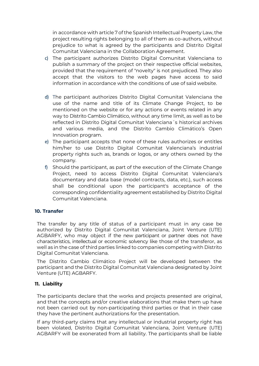in accordance with article 7 of the Spanish Intellectual Property Law, the project resulting rights belonging to all of them as co-authors, without prejudice to what is agreed by the participants and Distrito Digital Comunitat Valenciana in the Collaboration Agreement.

- c) The participant authorizes Distrito Digital Comunitat Valenciana to publish a summary of the project on their respective official websites, provided that the requirement of "novelty" is not prejudiced. They also accept that the visitors to the web pages have access to said information in accordance with the conditions of use of said website.
- d) The participant authorizes Distrito Digital Comunitat Valenciana the use of the name and title of its Climate Change Project, to be mentioned on the website or for any actions or events related in any way to Distrito Cambio Climático, without any time limit, as well as to be reflected in Distrito Digital Comunitat Valenciana´s historical archives and various media, and the Distrito Cambio Climático's Open Innovation program.
- e) The participant accepts that none of these rules authorizes or entitles him/her to use Distrito Digital Comunitat Valenciana's industrial property rights such as, brands or logos, or any others owned by the company.
- f) Should the participant, as part of the execution of the Climate Change Project, need to access Distrito Digital Comunitat Valenciana's documentary and data base (model contracts, data, etc.), such access shall be conditional upon the participant's acceptance of the corresponding confidentiality agreement established by Distrito Digital Comunitat Valenciana.

#### <span id="page-10-0"></span>**10. Transfer**

The transfer by any title of status of a participant must in any case be authorized by Distrito Digital Comunitat Valenciana, Joint Venture (UTE) AGBARFY, who may object if the new participant or partner does not have characteristics, intellectual or economic solvency like those of the transferor, as well as in the case of third parties linked to companies competing with Distrito Digital Comunitat Valenciana.

The Distrito Cambio Climático Project will be developed between the participant and the Distrito Digital Comunitat Valenciana designated by Joint Venture (UTE) AGBARFY.

#### <span id="page-10-1"></span>**11. Liability**

The participants declare that the works and projects presented are original, and that the concepts and/or creative elaborations that make them up have not been carried out by non-participating third parties or that in their case they have the pertinent authorizations for the presentation.

If any third-party claims that any intellectual or industrial property right has been violated, Distrito Digital Comunitat Valenciana, Joint Venture (UTE) AGBARFY will be exonerated from all liability. The participants shall be liable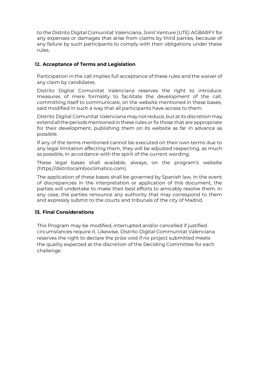to the Distrito Digital Comunitat Valenciana, Joint Venture (UTE) AGBARFY for any expenses or damages that arise from claims by third parties, because of any failure by such participants to comply with their obligations under these rules.

## **12. Acceptance of Terms and Legislation**

Participation in the call implies full acceptance of these rules and the waiver of any claim by candidates.

Distrito Digital Comunitat Valenciana reserves the right to introduce measures of mere formality to facilitate the development of the call, committing itself to communicate, on the website mentioned in these bases, said modified in such a way that all participants have access to them.

Distrito Digital Comunitat Valenciana may not reduce, but at its discretion may extend all the periods mentioned in these rules or fix those that are appropriate for their development, publishing them on its website as far in advance as possible.

If any of the terms mentioned cannot be executed on their own terms due to any legal limitation affecting them, they will be adjusted respecting, as much as possible, in accordance with the spirit of the current wording.

These legal bases shall available, always, on the program's website (https://distritocambioclimatico.com).

The application of these bases shall be governed by Spanish law. In the event of discrepancies in the interpretation or application of this document, the parties will undertake to make their best efforts to amicably resolve them. In any case, the parties renounce any authority that may correspond to them and expressly submit to the courts and tribunals of the city of Madrid.

# **13. Final Considerations**

This Program may be modified, interrupted and/or cancelled if justified circumstances require it. Likewise, Distrito Digital Communitat Valenciana reserves the right to declare the prize void if no project submitted meets the quality expected at the discretion of the Deciding Committee for each challenge.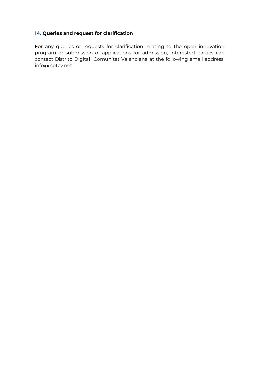# **14. Queries and request for clarification**

For any queries or requests for clarification relating to the open innovation program or submission of applications for admission, interested parties can contact Distrito Digital Comunitat Valenciana at the following email address: info@ sptcv.net